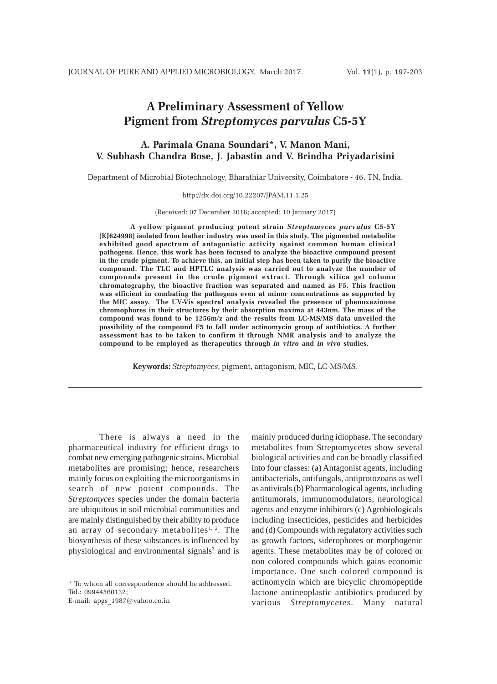# **A Preliminary Assessment of Yellow Pigment from** *Streptomyces parvulus* **C5-5Y**

# **A. Parimala Gnana Soundari\*, V. Manon Mani, V. Subhash Chandra Bose, J. Jabastin and V. Brindha Priyadarisini**

Department of Microbial Biotechnology, Bharathiar University, Coimbatore - 46, TN, India.

#### http://dx.doi.org/10.22207/JPAM.11.1.25

(Received: 07 December 2016; accepted: 10 January 2017)

**A yellow pigment producing potent strain** *Streptomyces parvulus* **C5-5Y (KJ624998) isolated from leather industry was used in this study. The pigmented metabolite exhibited good spectrum of antagonistic activity against common human clinical pathogens. Hence, this work has been focused to analyze the bioactive compound present in the crude pigment. To achieve this, an initial step has been taken to purify the bioactive compound. The TLC and HPTLC analysis was carried out to analyze the number of compounds present in the crude pigment extract. Through silica gel column chromatography, the bioactive fraction was separated and named as F5. This fraction was efficient in combating the pathogens even at minor concentrations as supported by the MIC assay. The UV-Vis spectral analysis revealed the presence of phenoxazinone chromophores in their structures by their absorption maxima at 443nm. The mass of the compound was found to be 1256m/z and the results from LC-MS/MS data unveiled the possibility of the compound F5 to fall under actinomycin group of antibiotics. A further assessment has to be taken to confirm it through NMR analysis and to analyze the compound to be employed as therapeutics through** *in vitro* **and** *in vivo* **studies.**

**Keywords:** *Streptomyces*, pigment, antagonism, MIC, LC-MS/MS.

There is always a need in the pharmaceutical industry for efficient drugs to combat new emerging pathogenic strains. Microbial metabolites are promising; hence, researchers mainly focus on exploiting the microorganisms in search of new potent compounds. The *Streptomyces* species under the domain bacteria are ubiquitous in soil microbial communities and are mainly distinguished by their ability to produce an array of secondary metabolites<sup>1, 2</sup>. The biosynthesis of these substances is influenced by physiological and environmental signals<sup>3</sup> and is

\* To whom all correspondence should be addressed. Tel.: 09944560132;

E-mail: apgs\_1987@yahoo.co.in

mainly produced during idiophase. The secondary metabolites from Streptomycetes show several biological activities and can be broadly classified into four classes: (a) Antagonist agents, including antibacterials, antifungals, antiprotozoans as well as antivirals (b) Pharmacological agents, including antitumorals, immunomodulators, neurological agents and enzyme inhibitors (c) Agrobiologicals including insecticides, pesticides and herbicides and (d) Compounds with regulatory activities such as growth factors, siderophores or morphogenic agents. These metabolites may be of colored or non colored compounds which gains economic importance. One such colored compound is actinomycin which are bicyclic chromopeptide lactone antineoplastic antibiotics produced by various *Streptomycetes*. Many natural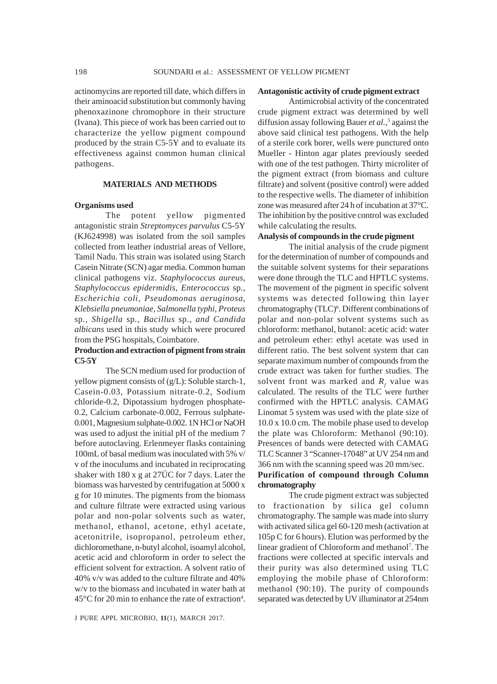actinomycins are reported till date, which differs in their aminoacid substitution but commonly having phenoxazinone chromophore in their structure (Ivana). This piece of work has been carried out to characterize the yellow pigment compound produced by the strain C5-5Y and to evaluate its effectiveness against common human clinical pathogens.

#### **MATERIALS AND METHODS**

#### **Organisms used**

The potent yellow pigmented antagonistic strain *Streptomyces parvulus* C5-5Y (KJ624998) was isolated from the soil samples collected from leather industrial areas of Vellore, Tamil Nadu. This strain was isolated using Starch Casein Nitrate (SCN) agar media. Common human clinical pathogens viz. *Staphylococcus aureus, Staphylococcus epidermidis, Enterococcus* sp.*, Escherichia coli, Pseudomonas aeruginosa, Klebsiella pneumoniae, Salmonella typhi, Proteus* sp*., Shigella* sp*., Bacillus* sp.*, and Candida albicans* used in this study which were procured from the PSG hospitals, Coimbatore.

## **Production and extraction of pigment from strain C5-5Y**

The SCN medium used for production of yellow pigment consists of (g/L): Soluble starch-1, Casein-0.03, Potassium nitrate-0.2, Sodium chloride-0.2, Dipotassium hydrogen phosphate-0.2, Calcium carbonate-0.002, Ferrous sulphate-0.001, Magnesium sulphate-0.002. 1N HCl or NaOH was used to adjust the initial pH of the medium 7 before autoclaving. Erlenmeyer flasks containing 100mL of basal medium was inoculated with 5% v/ v of the inoculums and incubated in reciprocating shaker with 180 x g at 27ÚC for 7 days. Later the biomass was harvested by centrifugation at 5000 x g for 10 minutes. The pigments from the biomass and culture filtrate were extracted using various polar and non-polar solvents such as water, methanol, ethanol, acetone, ethyl acetate, acetonitrile, isopropanol, petroleum ether, dichloromethane, n-butyl alcohol, isoamyl alcohol, acetic acid and chloroform in order to select the efficient solvent for extraction. A solvent ratio of 40% v/v was added to the culture filtrate and 40% w/v to the biomass and incubated in water bath at  $45^{\circ}$ C for 20 min to enhance the rate of extraction<sup>4</sup>.

#### **Antagonistic activity of crude pigment extract**

Antimicrobial activity of the concentrated crude pigment extract was determined by well diffusion assay following Bauer *et al.,*<sup>5</sup> against the above said clinical test pathogens. With the help of a sterile cork borer, wells were punctured onto Mueller - Hinton agar plates previously seeded with one of the test pathogen. Thirty microliter of the pigment extract (from biomass and culture filtrate) and solvent (positive control) were added to the respective wells. The diameter of inhibition zone was measured after 24 h of incubation at 37°C. The inhibition by the positive control was excluded while calculating the results.

#### **Analysis of compounds in the crude pigment**

The initial analysis of the crude pigment for the determination of number of compounds and the suitable solvent systems for their separations were done through the TLC and HPTLC systems. The movement of the pigment in specific solvent systems was detected following thin layer chromatography (TLC)<sup>6</sup>. Different combinations of polar and non-polar solvent systems such as chloroform: methanol, butanol: acetic acid: water and petroleum ether: ethyl acetate was used in different ratio. The best solvent system that can separate maximum number of compounds from the crude extract was taken for further studies. The solvent front was marked and  $R<sub>r</sub>$  value was calculated. The results of the TLC were further confirmed with the HPTLC analysis. CAMAG Linomat 5 system was used with the plate size of 10.0 x 10.0 cm. The mobile phase used to develop the plate was Chloroform: Methanol (90:10). Presences of bands were detected with CAMAG TLC Scanner 3 "Scanner-17048" at UV 254 nm and 366 nm with the scanning speed was 20 mm/sec. **Purification of compound through Column**

# **chromatography**

The crude pigment extract was subjected to fractionation by silica gel column chromatography. The sample was made into slurry with activated silica gel 60-120 mesh (activation at 105p C for 6 hours). Elution was performed by the linear gradient of Chloroform and methanol<sup>7</sup>. The fractions were collected at specific intervals and their purity was also determined using TLC employing the mobile phase of Chloroform: methanol (90:10). The purity of compounds separated was detected by UV illuminator at 254nm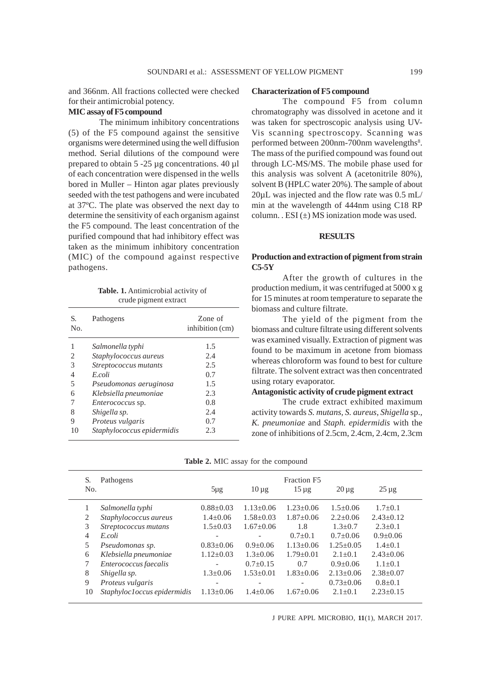and 366nm. All fractions collected were checked for their antimicrobial potency.

#### **MIC assay of F5 compound**

The minimum inhibitory concentrations (5) of the F5 compound against the sensitive organisms were determined using the well diffusion method. Serial dilutions of the compound were prepared to obtain 5 -25 µg concentrations. 40 µl of each concentration were dispensed in the wells bored in Muller – Hinton agar plates previously seeded with the test pathogens and were incubated at 37ºC. The plate was observed the next day to determine the sensitivity of each organism against the F5 compound. The least concentration of the purified compound that had inhibitory effect was taken as the minimum inhibitory concentration (MIC) of the compound against respective pathogens.

**Table. 1.** Antimicrobial activity of crude pigment extract

| S.<br>No. | Pathogens                  | Zone of<br>inhibition (cm) |
|-----------|----------------------------|----------------------------|
|           | Salmonella typhi           | 1.5                        |
| 2         | Staphylococcus aureus      | 2.4                        |
| 3         | Streptococcus mutants      | 2.5                        |
| 4         | E coli                     | 0.7                        |
| 5         | Pseudomonas aeruginosa     | 1.5                        |
| 6         | Klebsiella pneumoniae      | 2.3                        |
| 7         | <i>Enterococcus</i> sp.    | 0.8                        |
| 8         | Shigella sp.               | 2.4                        |
| 9         | Proteus vulgaris           | 0.7                        |
| 10        | Staphylococcus epidermidis | 2.3                        |

#### **Characterization of F5 compound**

The compound F5 from column chromatography was dissolved in acetone and it was taken for spectroscopic analysis using UV-Vis scanning spectroscopy. Scanning was performed between 200nm-700nm wavelengths<sup>8</sup>. The mass of the purified compound was found out through LC-MS/MS. The mobile phase used for this analysis was solvent A (acetonitrile 80%), solvent B (HPLC water 20%). The sample of about 20µL was injected and the flow rate was 0.5 mL/ min at the wavelength of 444nm using C18 RP column. . ESI  $(\pm)$  MS ionization mode was used.

#### **RESULTS**

#### **Production and extraction of pigment from strain C5-5Y**

After the growth of cultures in the production medium, it was centrifuged at 5000 x g for 15 minutes at room temperature to separate the biomass and culture filtrate.

The yield of the pigment from the biomass and culture filtrate using different solvents was examined visually. Extraction of pigment was found to be maximum in acetone from biomass whereas chloroform was found to best for culture filtrate. The solvent extract was then concentrated using rotary evaporator.

#### **Antagonistic activity of crude pigment extract**

The crude extract exhibited maximum activity towards *S. mutans, S. aureus, Shigella* sp.*, K. pneumoniae* and *Staph. epidermidis* with the zone of inhibitions of 2.5cm, 2.4cm, 2.4cm, 2.3cm

|  |  |  |  |  |  | Table 2. MIC assay for the compound |
|--|--|--|--|--|--|-------------------------------------|
|--|--|--|--|--|--|-------------------------------------|

| S.<br>No. | Pathogens                    | $5\mu$ g        | $10 \mu$ g               | Fraction F5<br>$15 \mu g$ | $20 \mu g$    | $25 \mu g$      |  |
|-----------|------------------------------|-----------------|--------------------------|---------------------------|---------------|-----------------|--|
| 1         | Salmonella typhi             | $0.88 \pm 0.03$ | $1.13 + 0.06$            | $1.23 + 0.06$             | $1.5+0.06$    | $1.7+0.1$       |  |
| 2         | Staphylococcus aureus        | $1.4+0.06$      | $1.58 + 0.03$            | $1.87 \pm 0.06$           | $2.2+0.06$    | $2.43+0.12$     |  |
| 3         | Streptococcus mutans         | $1.5 \pm 0.03$  | $1.67+0.06$              | 1.8                       | $1.3 + 0.7$   | $2.3+0.1$       |  |
| 4         | E.coli                       | -               | $\overline{\phantom{0}}$ | $0.7+0.1$                 | $0.7+0.06$    | $0.9+0.06$      |  |
| 5         | Pseudomonas sp.              | $0.83 + 0.06$   | $0.9+0.06$               | $1.13 + 0.06$             | $1.25 + 0.05$ | $1.4+0.1$       |  |
| 6         | Klebsiella pneumoniae        | $1.12 + 0.03$   | $1.3 \pm 0.06$           | $1.79 \pm 0.01$           | $2.1+0.1$     | $2.43 \pm 0.06$ |  |
| 7         | Enterococcus faecalis        |                 | $0.7+0.15$               | 0.7                       | $0.9 + 0.06$  | $1.1 + 0.1$     |  |
| 8         | Shigella sp.                 | $1.3 + 0.06$    | $1.53 \pm 0.01$          | $1.83 + 0.06$             | $2.13 + 0.06$ | $2.38 + 0.07$   |  |
| 9         | Proteus vulgaris             |                 |                          |                           | $0.73 + 0.06$ | $0.8+0.1$       |  |
| 10        | Staphyloc1 occus epidermidis | $1.13 \pm 0.06$ | $1.4 + 0.06$             | $1.67+0.06$               | $2.1+0.1$     | $2.23+0.15$     |  |

J PURE APPL MICROBIO*,* **11**(1), MARCH 2017.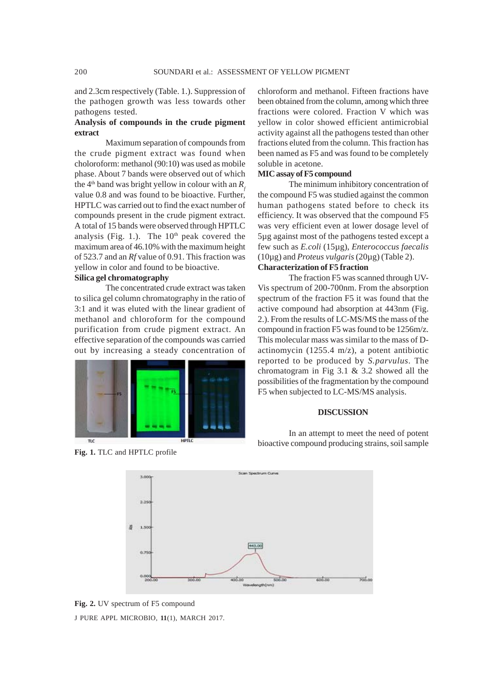# and 2.3cm respectively (Table. 1.). Suppression of the pathogen growth was less towards other pathogens tested.

# **Analysis of compounds in the crude pigment extract**

Maximum separation of compounds from the crude pigment extract was found when choloroform: methanol (90:10) was used as mobile phase. About 7 bands were observed out of which the 4<sup>th</sup> band was bright yellow in colour with an  $R<sub>f</sub>$ value 0.8 and was found to be bioactive. Further, HPTLC was carried out to find the exact number of compounds present in the crude pigment extract. A total of 15 bands were observed through HPTLC analysis (Fig. 1.). The  $10<sup>th</sup>$  peak covered the maximum area of 46.10% with the maximum height of 523.7 and an *Rf* value of 0.91. This fraction was yellow in color and found to be bioactive.

#### **Silica gel chromatography**

The concentrated crude extract was taken to silica gel column chromatography in the ratio of 3:1 and it was eluted with the linear gradient of methanol and chloroform for the compound purification from crude pigment extract. An effective separation of the compounds was carried out by increasing a steady concentration of



**Fig. 1.** TLC and HPTLC profile

chloroform and methanol. Fifteen fractions have been obtained from the column, among which three fractions were colored. Fraction V which was yellow in color showed efficient antimicrobial activity against all the pathogens tested than other fractions eluted from the column. This fraction has been named as F5 and was found to be completely soluble in acetone.

#### **MIC assay of F5 compound**

The minimum inhibitory concentration of the compound F5 was studied against the common human pathogens stated before to check its efficiency. It was observed that the compound F5 was very efficient even at lower dosage level of 5µg against most of the pathogens tested except a few such as *E.coli* (15µg), *Enterococcus faecalis* (10µg) and *Proteus vulgaris* (20µg) (Table 2).

# **Characterization of F5 fraction**

The fraction F5 was scanned through UV-Vis spectrum of 200-700nm. From the absorption spectrum of the fraction F5 it was found that the active compound had absorption at 443nm (Fig. 2.). From the results of LC-MS/MS the mass of the compound in fraction F5 was found to be 1256m/z. This molecular mass was similar to the mass of Dactinomycin (1255.4 m/z), a potent antibiotic reported to be produced by *S.parvulus*. The chromatogram in Fig 3.1 & 3.2 showed all the possibilities of the fragmentation by the compound F5 when subjected to LC-MS/MS analysis.

#### **DISCUSSION**

In an attempt to meet the need of potent bioactive compound producing strains, soil sample



J PURE APPL MICROBIO*,* **11**(1), MARCH 2017. **Fig. 2.** UV spectrum of F5 compound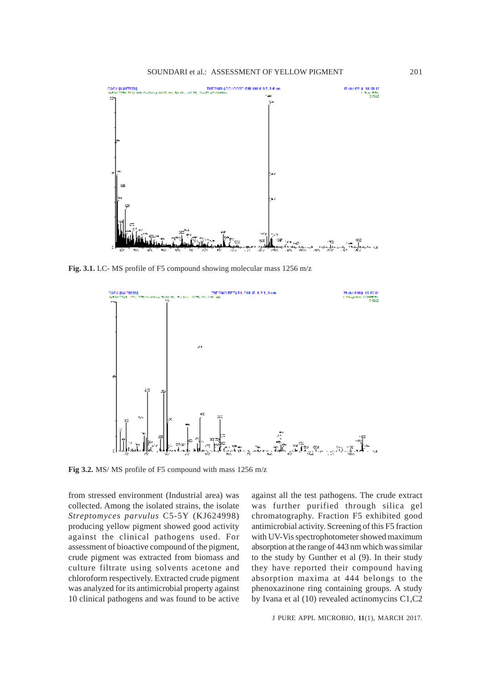

**Fig. 3.1.** LC- MS profile of F5 compound showing molecular mass 1256 m/z



**Fig 3.2.** MS/ MS profile of F5 compound with mass 1256 m/z

from stressed environment (Industrial area) was collected. Among the isolated strains, the isolate *Streptomyces parvulus* C5-5Y (KJ624998) producing yellow pigment showed good activity against the clinical pathogens used. For assessment of bioactive compound of the pigment, crude pigment was extracted from biomass and culture filtrate using solvents acetone and chloroform respectively. Extracted crude pigment was analyzed for its antimicrobial property against 10 clinical pathogens and was found to be active

against all the test pathogens. The crude extract was further purified through silica gel chromatography. Fraction F5 exhibited good antimicrobial activity. Screening of this F5 fraction with UV-Vis spectrophotometer showed maximum absorption at the range of 443 nm which was similar to the study by Gunther et al (9). In their study they have reported their compound having absorption maxima at 444 belongs to the phenoxazinone ring containing groups. A study by Ivana et al (10) revealed actinomycins C1,C2

J PURE APPL MICROBIO*,* **11**(1), MARCH 2017.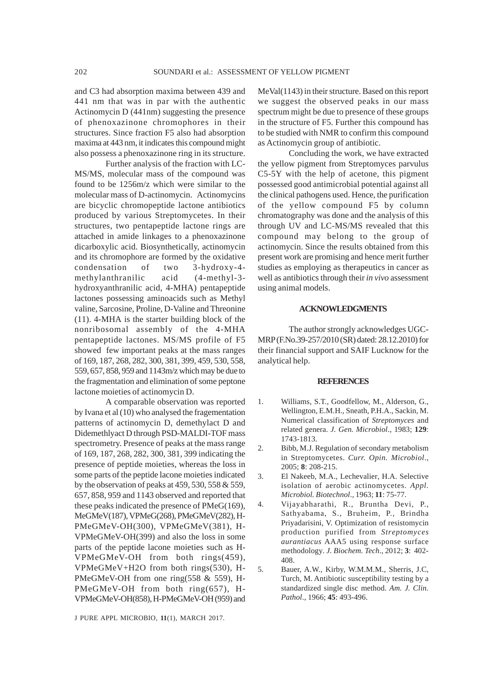and C3 had absorption maxima between 439 and 441 nm that was in par with the authentic Actinomycin D (441nm) suggesting the presence of phenoxazinone chromophores in their structures. Since fraction F5 also had absorption maxima at 443 nm, it indicates this compound might also possess a phenoxazinone ring in its structure.

Further analysis of the fraction with LC-MS/MS, molecular mass of the compound was found to be 1256m/z which were similar to the molecular mass of D-actinomycin. Actinomycins are bicyclic chromopeptide lactone antibiotics produced by various Streptomycetes. In their structures, two pentapeptide lactone rings are attached in amide linkages to a phenoxazinone dicarboxylic acid. Biosynthetically, actinomycin and its chromophore are formed by the oxidative condensation of two 3-hydroxy-4 methylanthranilic acid (4-methyl-3 hydroxyanthranilic acid, 4-MHA) pentapeptide lactones possessing aminoacids such as Methyl valine, Sarcosine, Proline, D-Valine and Threonine (11). 4-MHA is the starter building block of the nonribosomal assembly of the 4-MHA pentapeptide lactones. MS/MS profile of F5 showed few important peaks at the mass ranges of 169, 187, 268, 282, 300, 381, 399, 459, 530, 558, 559, 657, 858, 959 and 1143m/z which may be due to the fragmentation and elimination of some peptone lactone moieties of actinomycin D.

A comparable observation was reported by Ivana et al (10) who analysed the fragementation patterns of actinomycin D, demethylact D and Didemethlyact D through PSD-MALDI-TOF mass spectrometry. Presence of peaks at the mass range of 169, 187, 268, 282, 300, 381, 399 indicating the presence of peptide moieties, whereas the loss in some parts of the peptide lacone moieties indicated by the observation of peaks at 459, 530, 558 & 559, 657, 858, 959 and 1143 observed and reported that these peaks indicated the presence of PMeG(169), MeGMeV(187), VPMeG(268), PMeGMeV(282), H-PMeGMeV-OH(300), VPMeGMeV(381), H-VPMeGMeV-OH(399) and also the loss in some parts of the peptide lacone moieties such as H-VPMeGMeV-OH from both rings(459), VPMeGMeV+H2O from both rings(530), H-PMeGMeV-OH from one ring(558 & 559), H-PMeGMeV-OH from both ring(657), H-VPMeGMeV-OH(858), H-PMeGMeV-OH (959) and

J PURE APPL MICROBIO*,* **11**(1), MARCH 2017.

MeVal(1143) in their structure. Based on this report we suggest the observed peaks in our mass spectrum might be due to presence of these groups in the structure of F5. Further this compound has to be studied with NMR to confirm this compound as Actinomycin group of antibiotic.

Concluding the work, we have extracted the yellow pigment from Streptomyces parvulus C5-5Y with the help of acetone, this pigment possessed good antimicrobial potential against all the clinical pathogens used. Hence, the purification of the yellow compound F5 by column chromatography was done and the analysis of this through UV and LC-MS/MS revealed that this compound may belong to the group of actinomycin. Since the results obtained from this present work are promising and hence merit further studies as employing as therapeutics in cancer as well as antibiotics through their *in vivo* assessment using animal models.

#### **ACKNOWLEDGMENTS**

The author strongly acknowledges UGC-MRP (F.No.39-257/2010 (SR) dated: 28.12.2010) for their financial support and SAIF Lucknow for the analytical help.

#### **REFERENCES**

- 1. Williams, S.T., Goodfellow, M., Alderson, G., Wellington, E.M.H., Sneath, P.H.A., Sackin, M. Numerical classification of *Streptomyces* and related genera. *J. Gen. Microbiol*., 1983; **129**: 1743-1813.
- 2. Bibb, M.J. Regulation of secondary metabolism in Streptomycetes. *Curr. Opin. Microbiol*., 2005; **8**: 208-215.
- 3. El Nakeeb, M.A., Lechevalier, H.A. Selective isolation of aerobic actinomycetes. *Appl. Microbiol. Biotechnol*., 1963; **11**: 75-77.
- 4. Vijayabharathi, R., Bruntha Devi, P., Sathyabama, S., Bruheim, P., Brindha Priyadarisini, V. Optimization of resistomycin production purified from *Streptomyces aurantiacus* AAA5 using response surface methodology*. J. Biochem. Tech*., 2012; **3**: 402- 408.
- 5. Bauer, A.W., Kirby, W.M.M.M., Sherris, J.C, Turch, M. Antibiotic susceptibility testing by a standardized single disc method. *Am. J. Clin. Pathol*., 1966; **45**: 493-496.